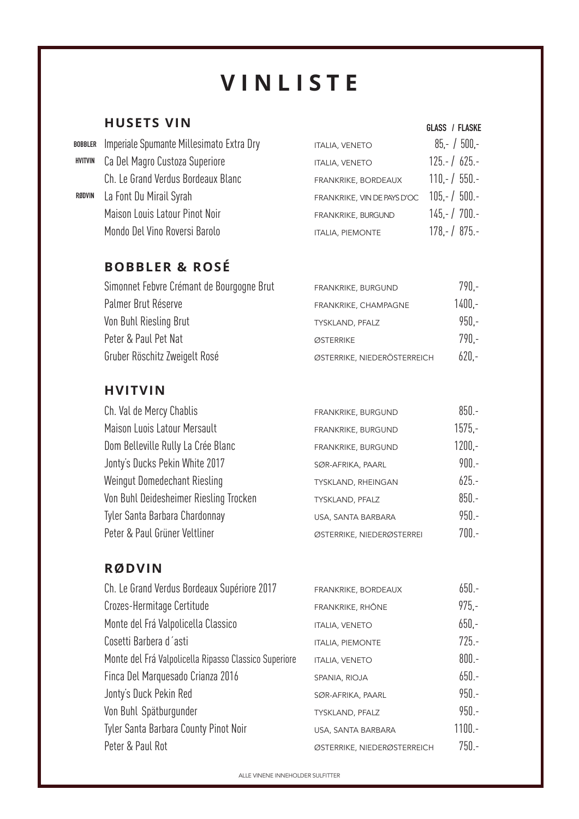# **VINLISTE**

 **GLASS / FLASKE**

#### **HUSETS VIN**

|         | BOBBLER Imperiale Spumante Millesimato Extra Dry | <b>ITALIA, VENETO</b>       | $85 - / 500 -$ |
|---------|--------------------------------------------------|-----------------------------|----------------|
| HVITVIN | Ca Del Magro Custoza Superiore                   | <b>ITALIA, VENETO</b>       | $125 - 1625 -$ |
|         | Ch. Le Grand Verdus Bordeaux Blanc               | FRANKRIKE, BORDEAUX         | $110 - 750 -$  |
| RØDVIN  | La Font Du Mirail Syrah                          | FRANKRIKE, VIN DE PAYS D'OC | $105.-/500.-$  |
|         | Maison Louis Latour Pinot Noir                   | FRANKRIKE, BURGUND          | $145 - 700 -$  |
|         | Mondo Del Vino Roversi Barolo                    | <b>ITALIA, PIEMONTE</b>     | $178 - 1875 -$ |

# **BOBBLER & ROSÉ**

| Simonnet Febvre Crémant de Bourgogne Brut | FRANKRIKE, BURGUND          | $790 -$  |
|-------------------------------------------|-----------------------------|----------|
| Palmer Brut Réserve                       | FRANKRIKE, CHAMPAGNE        | $1400 -$ |
| Von Buhl Riesling Brut                    | TYSKLAND, PFALZ             | $950.-$  |
| Peter & Paul Pet Nat                      | ØSTERRIKE                   | 790.-    |
| Gruber Röschitz Zweigelt Rosé             | ØSTERRIKE, NIEDERÖSTERREICH | $620 -$  |

#### **HVITVIN**

| Ch. Val de Mercy Chablis               | FRANKRIKE, BURGUND        | $850 -$  |
|----------------------------------------|---------------------------|----------|
| Maison Luois Latour Mersault           | FRANKRIKE, BURGUND        | $1575 -$ |
| Dom Belleville Rully La Crée Blanc     | FRANKRIKE, BURGUND        | $1200 -$ |
| Jonty's Ducks Pekin White 2017         | SØR-AFRIKA, PAARL         | $900.-$  |
| Weingut Domedechant Riesling           | TYSKLAND, RHEINGAN        | $625 -$  |
| Von Buhl Deidesheimer Riesling Trocken | TYSKLAND, PFALZ           | $850 -$  |
| Tyler Santa Barbara Chardonnay         | USA, SANTA BARBARA        | $950 -$  |
| Peter & Paul Grüner Veltliner          | ØSTERRIKE, NIEDERØSTERREI | $700.-$  |

#### **RØDVIN**

| Ch. Le Grand Verdus Bordeaux Supériore 2017           | FRANKRIKE, BORDEAUX         | $650 -$  |
|-------------------------------------------------------|-----------------------------|----------|
| Crozes-Hermitage Certitude                            | FRANKRIKE, RHÔNE            | $975 -$  |
| Monte del Frá Valpolicella Classico                   | <b>ITALIA, VENETO</b>       | $650 -$  |
| Cosetti Barbera d'asti                                | <b>ITALIA, PIEMONTE</b>     | $725 -$  |
| Monte del Frá Valpolicella Ripasso Classico Superiore | <b>ITALIA, VENETO</b>       | $800.-$  |
| Finca Del Marquesado Crianza 2016                     | SPANIA, RIOJA               | $650 -$  |
| Jonty's Duck Pekin Red                                | SØR-AFRIKA, PAARL           | $950 -$  |
| Von Buhl Spätburgunder                                | TYSKLAND, PFALZ             | $950 -$  |
| Tyler Santa Barbara County Pinot Noir                 | USA, SANTA BARBARA          | $1100.-$ |
| Peter & Paul Rot                                      | ØSTERRIKE, NIEDERØSTERREICH | $750 -$  |